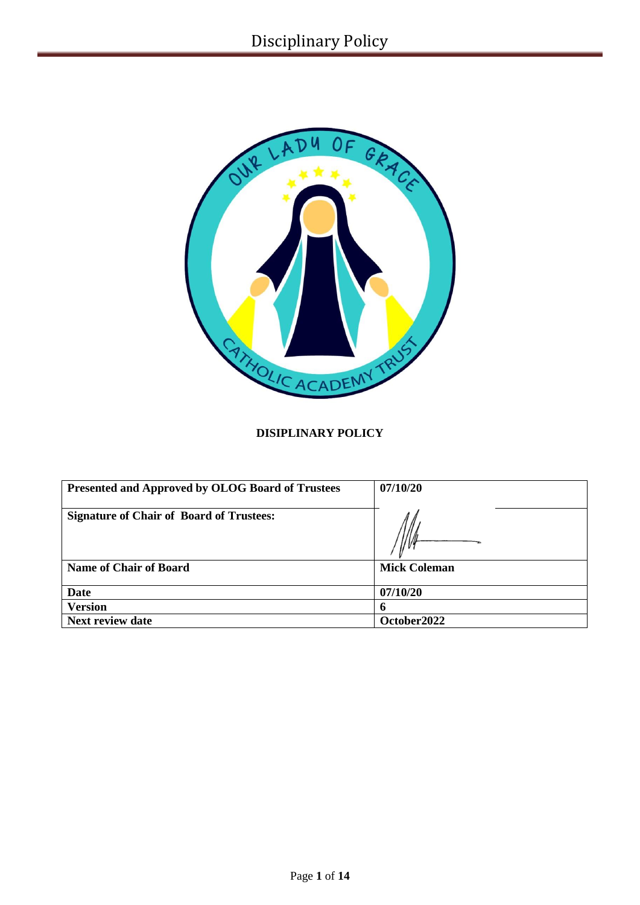

# **DISIPLINARY POLICY**

| <b>Presented and Approved by OLOG Board of Trustees</b> | 07/10/20            |
|---------------------------------------------------------|---------------------|
| <b>Signature of Chair of Board of Trustees:</b>         |                     |
| Name of Chair of Board                                  | <b>Mick Coleman</b> |
| <b>Date</b>                                             | 07/10/20            |
| <b>Version</b>                                          | n                   |
| <b>Next review date</b>                                 | October 2022        |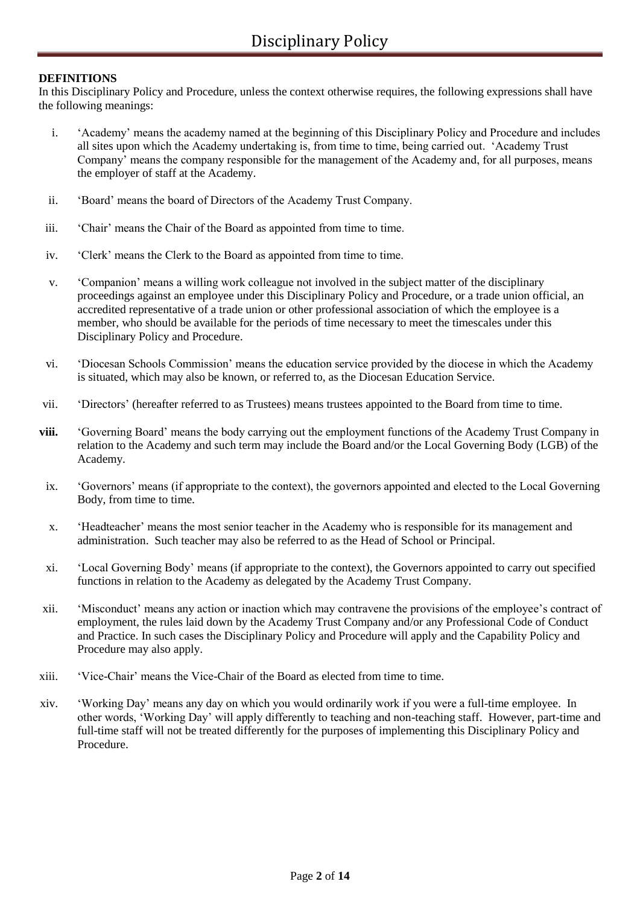## **DEFINITIONS**

In this Disciplinary Policy and Procedure, unless the context otherwise requires, the following expressions shall have the following meanings:

- i. 'Academy' means the academy named at the beginning of this Disciplinary Policy and Procedure and includes all sites upon which the Academy undertaking is, from time to time, being carried out. 'Academy Trust Company' means the company responsible for the management of the Academy and, for all purposes, means the employer of staff at the Academy.
- ii. 'Board' means the board of Directors of the Academy Trust Company.
- iii. 'Chair' means the Chair of the Board as appointed from time to time.
- iv. 'Clerk' means the Clerk to the Board as appointed from time to time.
- v. 'Companion' means a willing work colleague not involved in the subject matter of the disciplinary proceedings against an employee under this Disciplinary Policy and Procedure, or a trade union official, an accredited representative of a trade union or other professional association of which the employee is a member, who should be available for the periods of time necessary to meet the timescales under this Disciplinary Policy and Procedure.
- vi. 'Diocesan Schools Commission' means the education service provided by the diocese in which the Academy is situated, which may also be known, or referred to, as the Diocesan Education Service.
- vii. 'Directors' (hereafter referred to as Trustees) means trustees appointed to the Board from time to time.
- **viii.** 'Governing Board' means the body carrying out the employment functions of the Academy Trust Company in relation to the Academy and such term may include the Board and/or the Local Governing Body (LGB) of the Academy.
- ix. 'Governors' means (if appropriate to the context), the governors appointed and elected to the Local Governing Body, from time to time.
- x. 'Headteacher' means the most senior teacher in the Academy who is responsible for its management and administration. Such teacher may also be referred to as the Head of School or Principal.
- xi. 'Local Governing Body' means (if appropriate to the context), the Governors appointed to carry out specified functions in relation to the Academy as delegated by the Academy Trust Company.
- xii. 'Misconduct' means any action or inaction which may contravene the provisions of the employee's contract of employment, the rules laid down by the Academy Trust Company and/or any Professional Code of Conduct and Practice. In such cases the Disciplinary Policy and Procedure will apply and the Capability Policy and Procedure may also apply.
- xiii. 'Vice-Chair' means the Vice-Chair of the Board as elected from time to time.
- xiv. 'Working Day' means any day on which you would ordinarily work if you were a full-time employee. In other words, 'Working Day' will apply differently to teaching and non-teaching staff. However, part-time and full-time staff will not be treated differently for the purposes of implementing this Disciplinary Policy and Procedure.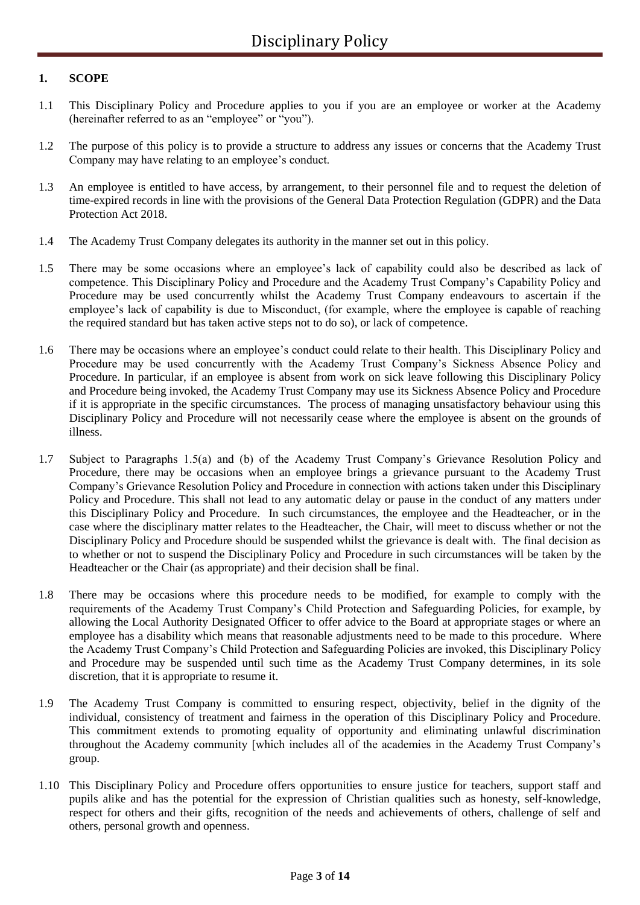# **1. SCOPE**

- 1.1 This Disciplinary Policy and Procedure applies to you if you are an employee or worker at the Academy (hereinafter referred to as an "employee" or "you").
- 1.2 The purpose of this policy is to provide a structure to address any issues or concerns that the Academy Trust Company may have relating to an employee's conduct.
- 1.3 An employee is entitled to have access, by arrangement, to their personnel file and to request the deletion of time-expired records in line with the provisions of the General Data Protection Regulation (GDPR) and the Data Protection Act 2018.
- 1.4 The Academy Trust Company delegates its authority in the manner set out in this policy.
- 1.5 There may be some occasions where an employee's lack of capability could also be described as lack of competence. This Disciplinary Policy and Procedure and the Academy Trust Company's Capability Policy and Procedure may be used concurrently whilst the Academy Trust Company endeavours to ascertain if the employee's lack of capability is due to Misconduct, (for example, where the employee is capable of reaching the required standard but has taken active steps not to do so), or lack of competence.
- 1.6 There may be occasions where an employee's conduct could relate to their health. This Disciplinary Policy and Procedure may be used concurrently with the Academy Trust Company's Sickness Absence Policy and Procedure. In particular, if an employee is absent from work on sick leave following this Disciplinary Policy and Procedure being invoked, the Academy Trust Company may use its Sickness Absence Policy and Procedure if it is appropriate in the specific circumstances. The process of managing unsatisfactory behaviour using this Disciplinary Policy and Procedure will not necessarily cease where the employee is absent on the grounds of illness.
- 1.7 Subject to Paragraphs 1.5(a) and (b) of the Academy Trust Company's Grievance Resolution Policy and Procedure, there may be occasions when an employee brings a grievance pursuant to the Academy Trust Company's Grievance Resolution Policy and Procedure in connection with actions taken under this Disciplinary Policy and Procedure. This shall not lead to any automatic delay or pause in the conduct of any matters under this Disciplinary Policy and Procedure. In such circumstances, the employee and the Headteacher, or in the case where the disciplinary matter relates to the Headteacher, the Chair, will meet to discuss whether or not the Disciplinary Policy and Procedure should be suspended whilst the grievance is dealt with. The final decision as to whether or not to suspend the Disciplinary Policy and Procedure in such circumstances will be taken by the Headteacher or the Chair (as appropriate) and their decision shall be final.
- 1.8 There may be occasions where this procedure needs to be modified, for example to comply with the requirements of the Academy Trust Company's Child Protection and Safeguarding Policies, for example, by allowing the Local Authority Designated Officer to offer advice to the Board at appropriate stages or where an employee has a disability which means that reasonable adjustments need to be made to this procedure. Where the Academy Trust Company's Child Protection and Safeguarding Policies are invoked, this Disciplinary Policy and Procedure may be suspended until such time as the Academy Trust Company determines, in its sole discretion, that it is appropriate to resume it.
- 1.9 The Academy Trust Company is committed to ensuring respect, objectivity, belief in the dignity of the individual, consistency of treatment and fairness in the operation of this Disciplinary Policy and Procedure. This commitment extends to promoting equality of opportunity and eliminating unlawful discrimination throughout the Academy community [which includes all of the academies in the Academy Trust Company's group.
- 1.10 This Disciplinary Policy and Procedure offers opportunities to ensure justice for teachers, support staff and pupils alike and has the potential for the expression of Christian qualities such as honesty, self-knowledge, respect for others and their gifts, recognition of the needs and achievements of others, challenge of self and others, personal growth and openness.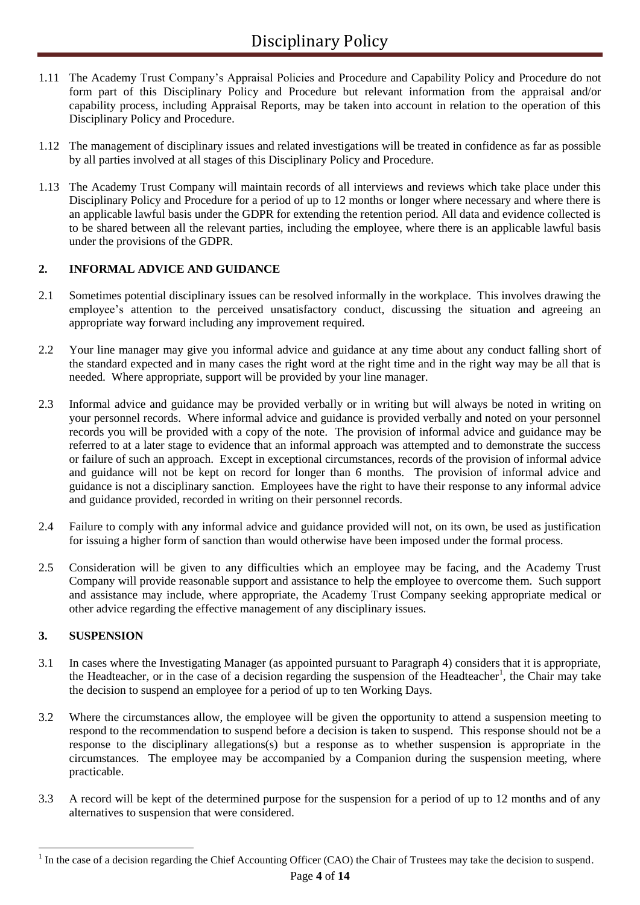- 1.11 The Academy Trust Company's Appraisal Policies and Procedure and Capability Policy and Procedure do not form part of this Disciplinary Policy and Procedure but relevant information from the appraisal and/or capability process, including Appraisal Reports, may be taken into account in relation to the operation of this Disciplinary Policy and Procedure.
- 1.12 The management of disciplinary issues and related investigations will be treated in confidence as far as possible by all parties involved at all stages of this Disciplinary Policy and Procedure.
- 1.13 The Academy Trust Company will maintain records of all interviews and reviews which take place under this Disciplinary Policy and Procedure for a period of up to 12 months or longer where necessary and where there is an applicable lawful basis under the GDPR for extending the retention period. All data and evidence collected is to be shared between all the relevant parties, including the employee, where there is an applicable lawful basis under the provisions of the GDPR.

## **2. INFORMAL ADVICE AND GUIDANCE**

- 2.1 Sometimes potential disciplinary issues can be resolved informally in the workplace. This involves drawing the employee's attention to the perceived unsatisfactory conduct, discussing the situation and agreeing an appropriate way forward including any improvement required.
- 2.2 Your line manager may give you informal advice and guidance at any time about any conduct falling short of the standard expected and in many cases the right word at the right time and in the right way may be all that is needed. Where appropriate, support will be provided by your line manager.
- 2.3 Informal advice and guidance may be provided verbally or in writing but will always be noted in writing on your personnel records. Where informal advice and guidance is provided verbally and noted on your personnel records you will be provided with a copy of the note. The provision of informal advice and guidance may be referred to at a later stage to evidence that an informal approach was attempted and to demonstrate the success or failure of such an approach. Except in exceptional circumstances, records of the provision of informal advice and guidance will not be kept on record for longer than 6 months. The provision of informal advice and guidance is not a disciplinary sanction. Employees have the right to have their response to any informal advice and guidance provided, recorded in writing on their personnel records.
- 2.4 Failure to comply with any informal advice and guidance provided will not, on its own, be used as justification for issuing a higher form of sanction than would otherwise have been imposed under the formal process.
- 2.5 Consideration will be given to any difficulties which an employee may be facing, and the Academy Trust Company will provide reasonable support and assistance to help the employee to overcome them. Such support and assistance may include, where appropriate, the Academy Trust Company seeking appropriate medical or other advice regarding the effective management of any disciplinary issues.

# **3. SUSPENSION**

1

- 3.1 In cases where the Investigating Manager (as appointed pursuant to Paragraph 4) considers that it is appropriate, the Headteacher, or in the case of a decision regarding the suspension of the Headteacher<sup>1</sup>, the Chair may take the decision to suspend an employee for a period of up to ten Working Days.
- 3.2 Where the circumstances allow, the employee will be given the opportunity to attend a suspension meeting to respond to the recommendation to suspend before a decision is taken to suspend. This response should not be a response to the disciplinary allegations(s) but a response as to whether suspension is appropriate in the circumstances. The employee may be accompanied by a Companion during the suspension meeting, where practicable.
- 3.3 A record will be kept of the determined purpose for the suspension for a period of up to 12 months and of any alternatives to suspension that were considered.

 $1$  In the case of a decision regarding the Chief Accounting Officer (CAO) the Chair of Trustees may take the decision to suspend.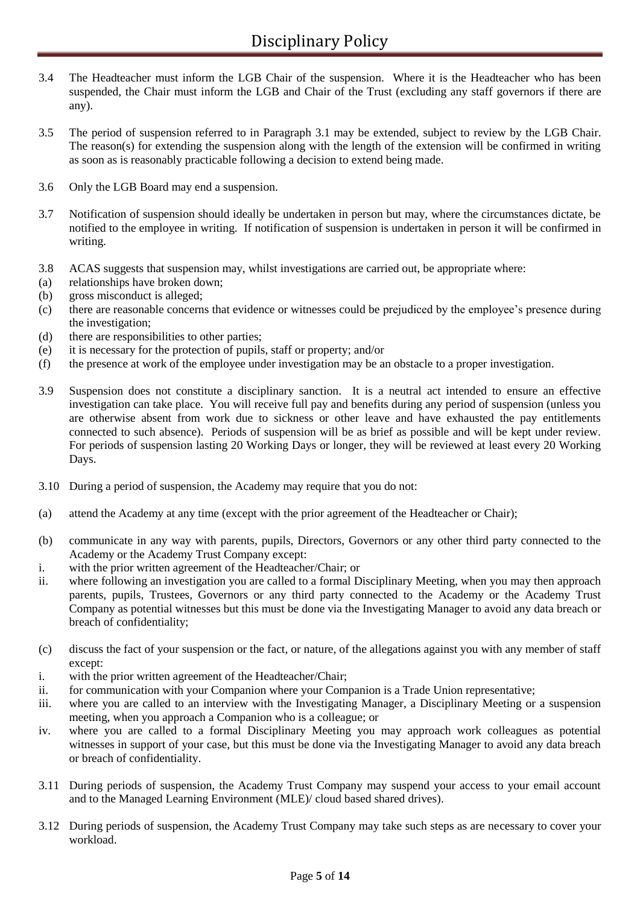- 3.4 The Headteacher must inform the LGB Chair of the suspension. Where it is the Headteacher who has been suspended, the Chair must inform the LGB and Chair of the Trust (excluding any staff governors if there are any).
- 3.5 The period of suspension referred to in Paragraph 3.1 may be extended, subject to review by the LGB Chair. The reason(s) for extending the suspension along with the length of the extension will be confirmed in writing as soon as is reasonably practicable following a decision to extend being made.
- 3.6 Only the LGB Board may end a suspension.
- 3.7 Notification of suspension should ideally be undertaken in person but may, where the circumstances dictate, be notified to the employee in writing. If notification of suspension is undertaken in person it will be confirmed in writing.
- 3.8 ACAS suggests that suspension may, whilst investigations are carried out, be appropriate where:
- (a) relationships have broken down;
- (b) gross misconduct is alleged;
- (c) there are reasonable concerns that evidence or witnesses could be prejudiced by the employee's presence during the investigation;
- (d) there are responsibilities to other parties;
- (e) it is necessary for the protection of pupils, staff or property; and/or
- (f) the presence at work of the employee under investigation may be an obstacle to a proper investigation.
- 3.9 Suspension does not constitute a disciplinary sanction. It is a neutral act intended to ensure an effective investigation can take place. You will receive full pay and benefits during any period of suspension (unless you are otherwise absent from work due to sickness or other leave and have exhausted the pay entitlements connected to such absence). Periods of suspension will be as brief as possible and will be kept under review. For periods of suspension lasting 20 Working Days or longer, they will be reviewed at least every 20 Working Days.
- 3.10 During a period of suspension, the Academy may require that you do not:
- (a) attend the Academy at any time (except with the prior agreement of the Headteacher or Chair);
- (b) communicate in any way with parents, pupils, Directors, Governors or any other third party connected to the Academy or the Academy Trust Company except:
- i. with the prior written agreement of the Headteacher/Chair; or
- ii. where following an investigation you are called to a formal Disciplinary Meeting, when you may then approach parents, pupils, Trustees, Governors or any third party connected to the Academy or the Academy Trust Company as potential witnesses but this must be done via the Investigating Manager to avoid any data breach or breach of confidentiality;
- (c) discuss the fact of your suspension or the fact, or nature, of the allegations against you with any member of staff except:
- i. with the prior written agreement of the Headteacher/Chair;
- ii. for communication with your Companion where your Companion is a Trade Union representative;
- iii. where you are called to an interview with the Investigating Manager, a Disciplinary Meeting or a suspension meeting, when you approach a Companion who is a colleague; or
- iv. where you are called to a formal Disciplinary Meeting you may approach work colleagues as potential witnesses in support of your case, but this must be done via the Investigating Manager to avoid any data breach or breach of confidentiality.
- 3.11 During periods of suspension, the Academy Trust Company may suspend your access to your email account and to the Managed Learning Environment (MLE)/ cloud based shared drives).
- 3.12 During periods of suspension, the Academy Trust Company may take such steps as are necessary to cover your workload.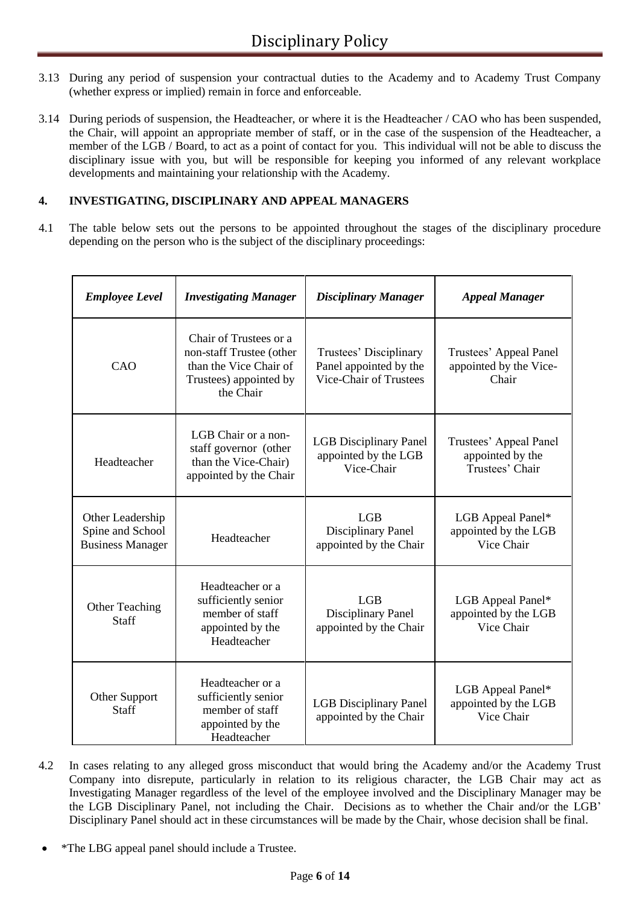- 3.13 During any period of suspension your contractual duties to the Academy and to Academy Trust Company (whether express or implied) remain in force and enforceable.
- 3.14 During periods of suspension, the Headteacher, or where it is the Headteacher / CAO who has been suspended, the Chair, will appoint an appropriate member of staff, or in the case of the suspension of the Headteacher, a member of the LGB / Board, to act as a point of contact for you. This individual will not be able to discuss the disciplinary issue with you, but will be responsible for keeping you informed of any relevant workplace developments and maintaining your relationship with the Academy.

# **4. INVESTIGATING, DISCIPLINARY AND APPEAL MANAGERS**

4.1 The table below sets out the persons to be appointed throughout the stages of the disciplinary procedure depending on the person who is the subject of the disciplinary proceedings:

| <b>Employee Level</b>                                           | <b>Investigating Manager</b>                                                                                        | <b>Disciplinary Manager</b>                                                | <b>Appeal Manager</b>                                         |
|-----------------------------------------------------------------|---------------------------------------------------------------------------------------------------------------------|----------------------------------------------------------------------------|---------------------------------------------------------------|
| CAO                                                             | Chair of Trustees or a<br>non-staff Trustee (other<br>than the Vice Chair of<br>Trustees) appointed by<br>the Chair | Trustees' Disciplinary<br>Panel appointed by the<br>Vice-Chair of Trustees | Trustees' Appeal Panel<br>appointed by the Vice-<br>Chair     |
| Headteacher                                                     | LGB Chair or a non-<br>staff governor (other<br>than the Vice-Chair)<br>appointed by the Chair                      | <b>LGB</b> Disciplinary Panel<br>appointed by the LGB<br>Vice-Chair        | Trustees' Appeal Panel<br>appointed by the<br>Trustees' Chair |
| Other Leadership<br>Spine and School<br><b>Business Manager</b> | Headteacher                                                                                                         | <b>LGB</b><br>Disciplinary Panel<br>appointed by the Chair                 | LGB Appeal Panel*<br>appointed by the LGB<br>Vice Chair       |
| <b>Other Teaching</b><br><b>Staff</b>                           | Headteacher or a<br>sufficiently senior<br>member of staff<br>appointed by the<br>Headteacher                       | <b>LGB</b><br>Disciplinary Panel<br>appointed by the Chair                 | LGB Appeal Panel*<br>appointed by the LGB<br>Vice Chair       |
| Other Support<br>Staff                                          | Headteacher or a<br>sufficiently senior<br>member of staff<br>appointed by the<br>Headteacher                       | <b>LGB</b> Disciplinary Panel<br>appointed by the Chair                    | LGB Appeal Panel*<br>appointed by the LGB<br>Vice Chair       |

- 4.2 In cases relating to any alleged gross misconduct that would bring the Academy and/or the Academy Trust Company into disrepute, particularly in relation to its religious character, the LGB Chair may act as Investigating Manager regardless of the level of the employee involved and the Disciplinary Manager may be the LGB Disciplinary Panel, not including the Chair. Decisions as to whether the Chair and/or the LGB' Disciplinary Panel should act in these circumstances will be made by the Chair, whose decision shall be final.
- \*The LBG appeal panel should include a Trustee.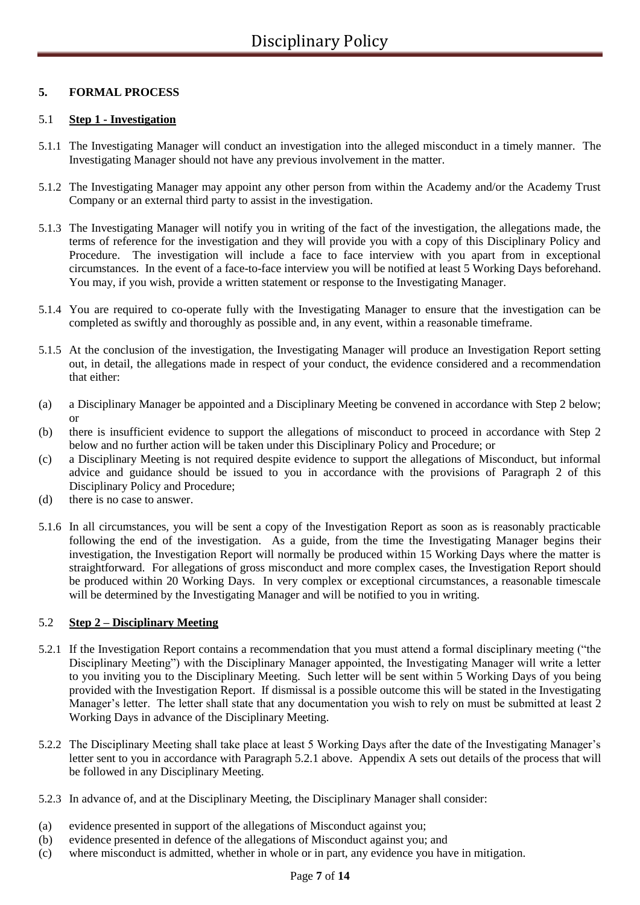## **5. FORMAL PROCESS**

## 5.1 **Step 1 - Investigation**

- 5.1.1 The Investigating Manager will conduct an investigation into the alleged misconduct in a timely manner. The Investigating Manager should not have any previous involvement in the matter.
- 5.1.2 The Investigating Manager may appoint any other person from within the Academy and/or the Academy Trust Company or an external third party to assist in the investigation.
- 5.1.3 The Investigating Manager will notify you in writing of the fact of the investigation, the allegations made, the terms of reference for the investigation and they will provide you with a copy of this Disciplinary Policy and Procedure. The investigation will include a face to face interview with you apart from in exceptional circumstances. In the event of a face-to-face interview you will be notified at least 5 Working Days beforehand. You may, if you wish, provide a written statement or response to the Investigating Manager.
- 5.1.4 You are required to co-operate fully with the Investigating Manager to ensure that the investigation can be completed as swiftly and thoroughly as possible and, in any event, within a reasonable timeframe.
- 5.1.5 At the conclusion of the investigation, the Investigating Manager will produce an Investigation Report setting out, in detail, the allegations made in respect of your conduct, the evidence considered and a recommendation that either:
- (a) a Disciplinary Manager be appointed and a Disciplinary Meeting be convened in accordance with Step 2 below; or
- (b) there is insufficient evidence to support the allegations of misconduct to proceed in accordance with Step 2 below and no further action will be taken under this Disciplinary Policy and Procedure; or
- (c) a Disciplinary Meeting is not required despite evidence to support the allegations of Misconduct, but informal advice and guidance should be issued to you in accordance with the provisions of Paragraph 2 of this Disciplinary Policy and Procedure;
- (d) there is no case to answer.
- 5.1.6 In all circumstances, you will be sent a copy of the Investigation Report as soon as is reasonably practicable following the end of the investigation. As a guide, from the time the Investigating Manager begins their investigation, the Investigation Report will normally be produced within 15 Working Days where the matter is straightforward. For allegations of gross misconduct and more complex cases, the Investigation Report should be produced within 20 Working Days. In very complex or exceptional circumstances, a reasonable timescale will be determined by the Investigating Manager and will be notified to you in writing.

## 5.2 **Step 2 – Disciplinary Meeting**

- 5.2.1 If the Investigation Report contains a recommendation that you must attend a formal disciplinary meeting ("the Disciplinary Meeting") with the Disciplinary Manager appointed, the Investigating Manager will write a letter to you inviting you to the Disciplinary Meeting. Such letter will be sent within 5 Working Days of you being provided with the Investigation Report. If dismissal is a possible outcome this will be stated in the Investigating Manager's letter. The letter shall state that any documentation you wish to rely on must be submitted at least 2 Working Days in advance of the Disciplinary Meeting.
- 5.2.2 The Disciplinary Meeting shall take place at least 5 Working Days after the date of the Investigating Manager's letter sent to you in accordance with Paragraph 5.2.1 above. Appendix A sets out details of the process that will be followed in any Disciplinary Meeting.
- 5.2.3 In advance of, and at the Disciplinary Meeting, the Disciplinary Manager shall consider:
- (a) evidence presented in support of the allegations of Misconduct against you;
- (b) evidence presented in defence of the allegations of Misconduct against you; and
- (c) where misconduct is admitted, whether in whole or in part, any evidence you have in mitigation.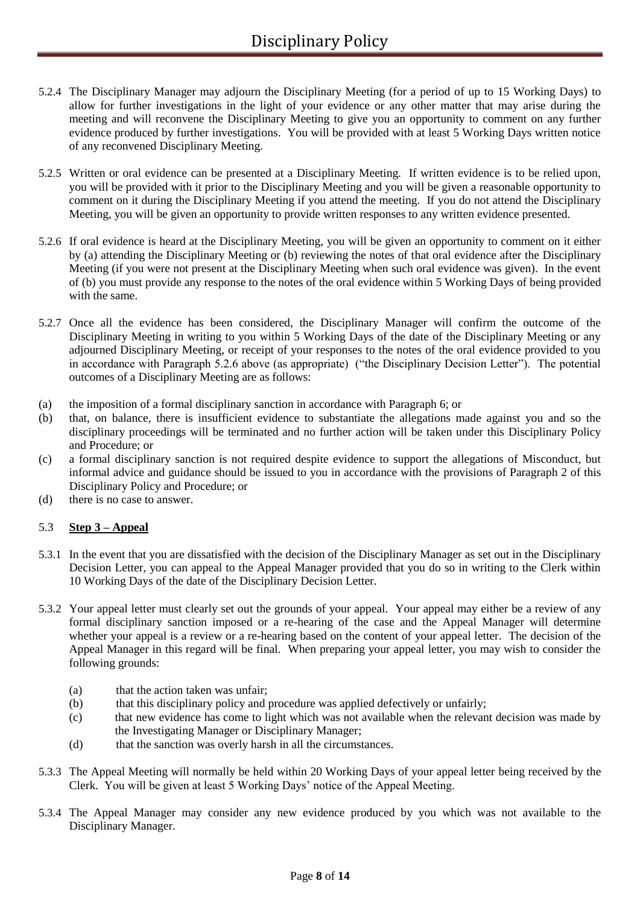- 5.2.4 The Disciplinary Manager may adjourn the Disciplinary Meeting (for a period of up to 15 Working Days) to allow for further investigations in the light of your evidence or any other matter that may arise during the meeting and will reconvene the Disciplinary Meeting to give you an opportunity to comment on any further evidence produced by further investigations. You will be provided with at least 5 Working Days written notice of any reconvened Disciplinary Meeting.
- 5.2.5 Written or oral evidence can be presented at a Disciplinary Meeting. If written evidence is to be relied upon, you will be provided with it prior to the Disciplinary Meeting and you will be given a reasonable opportunity to comment on it during the Disciplinary Meeting if you attend the meeting. If you do not attend the Disciplinary Meeting, you will be given an opportunity to provide written responses to any written evidence presented.
- 5.2.6 If oral evidence is heard at the Disciplinary Meeting, you will be given an opportunity to comment on it either by (a) attending the Disciplinary Meeting or (b) reviewing the notes of that oral evidence after the Disciplinary Meeting (if you were not present at the Disciplinary Meeting when such oral evidence was given). In the event of (b) you must provide any response to the notes of the oral evidence within 5 Working Days of being provided with the same.
- 5.2.7 Once all the evidence has been considered, the Disciplinary Manager will confirm the outcome of the Disciplinary Meeting in writing to you within 5 Working Days of the date of the Disciplinary Meeting or any adjourned Disciplinary Meeting, or receipt of your responses to the notes of the oral evidence provided to you in accordance with Paragraph 5.2.6 above (as appropriate) ("the Disciplinary Decision Letter"). The potential outcomes of a Disciplinary Meeting are as follows:
- (a) the imposition of a formal disciplinary sanction in accordance with Paragraph 6; or
- (b) that, on balance, there is insufficient evidence to substantiate the allegations made against you and so the disciplinary proceedings will be terminated and no further action will be taken under this Disciplinary Policy and Procedure; or
- (c) a formal disciplinary sanction is not required despite evidence to support the allegations of Misconduct, but informal advice and guidance should be issued to you in accordance with the provisions of Paragraph 2 of this Disciplinary Policy and Procedure; or
- (d) there is no case to answer.

#### 5.3 **Step 3 – Appeal**

- 5.3.1 In the event that you are dissatisfied with the decision of the Disciplinary Manager as set out in the Disciplinary Decision Letter, you can appeal to the Appeal Manager provided that you do so in writing to the Clerk within 10 Working Days of the date of the Disciplinary Decision Letter.
- 5.3.2 Your appeal letter must clearly set out the grounds of your appeal. Your appeal may either be a review of any formal disciplinary sanction imposed or a re-hearing of the case and the Appeal Manager will determine whether your appeal is a review or a re-hearing based on the content of your appeal letter. The decision of the Appeal Manager in this regard will be final. When preparing your appeal letter, you may wish to consider the following grounds:
	- (a) that the action taken was unfair;
	- (b) that this disciplinary policy and procedure was applied defectively or unfairly;
	- (c) that new evidence has come to light which was not available when the relevant decision was made by the Investigating Manager or Disciplinary Manager;
	- (d) that the sanction was overly harsh in all the circumstances.
- 5.3.3 The Appeal Meeting will normally be held within 20 Working Days of your appeal letter being received by the Clerk. You will be given at least 5 Working Days' notice of the Appeal Meeting.
- 5.3.4 The Appeal Manager may consider any new evidence produced by you which was not available to the Disciplinary Manager.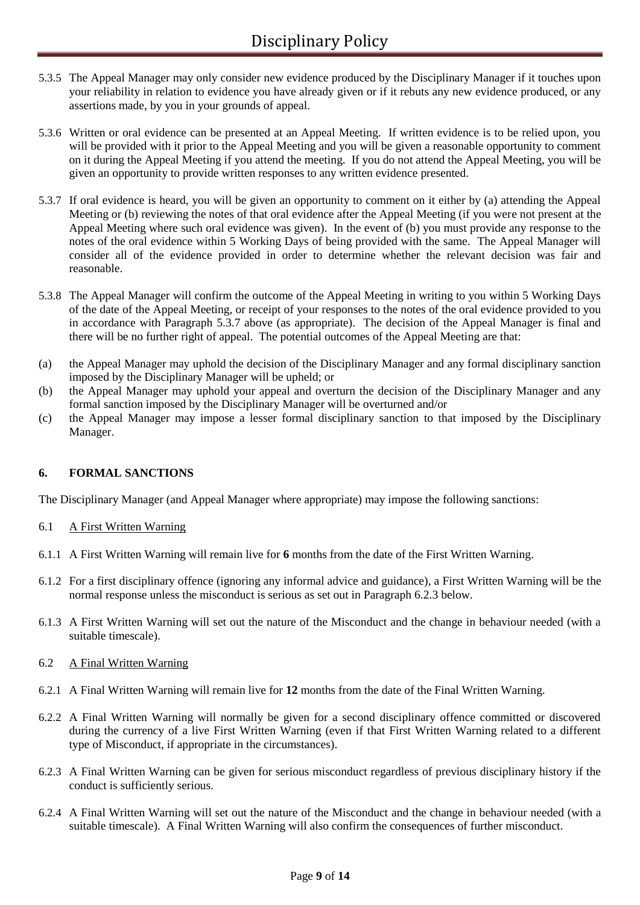- 5.3.5 The Appeal Manager may only consider new evidence produced by the Disciplinary Manager if it touches upon your reliability in relation to evidence you have already given or if it rebuts any new evidence produced, or any assertions made, by you in your grounds of appeal.
- 5.3.6 Written or oral evidence can be presented at an Appeal Meeting. If written evidence is to be relied upon, you will be provided with it prior to the Appeal Meeting and you will be given a reasonable opportunity to comment on it during the Appeal Meeting if you attend the meeting. If you do not attend the Appeal Meeting, you will be given an opportunity to provide written responses to any written evidence presented.
- 5.3.7 If oral evidence is heard, you will be given an opportunity to comment on it either by (a) attending the Appeal Meeting or (b) reviewing the notes of that oral evidence after the Appeal Meeting (if you were not present at the Appeal Meeting where such oral evidence was given). In the event of (b) you must provide any response to the notes of the oral evidence within 5 Working Days of being provided with the same. The Appeal Manager will consider all of the evidence provided in order to determine whether the relevant decision was fair and reasonable.
- 5.3.8 The Appeal Manager will confirm the outcome of the Appeal Meeting in writing to you within 5 Working Days of the date of the Appeal Meeting, or receipt of your responses to the notes of the oral evidence provided to you in accordance with Paragraph 5.3.7 above (as appropriate). The decision of the Appeal Manager is final and there will be no further right of appeal. The potential outcomes of the Appeal Meeting are that:
- (a) the Appeal Manager may uphold the decision of the Disciplinary Manager and any formal disciplinary sanction imposed by the Disciplinary Manager will be upheld; or
- (b) the Appeal Manager may uphold your appeal and overturn the decision of the Disciplinary Manager and any formal sanction imposed by the Disciplinary Manager will be overturned and/or
- (c) the Appeal Manager may impose a lesser formal disciplinary sanction to that imposed by the Disciplinary Manager.

# **6. FORMAL SANCTIONS**

The Disciplinary Manager (and Appeal Manager where appropriate) may impose the following sanctions:

#### 6.1 A First Written Warning

- 6.1.1 A First Written Warning will remain live for **6** months from the date of the First Written Warning.
- 6.1.2 For a first disciplinary offence (ignoring any informal advice and guidance), a First Written Warning will be the normal response unless the misconduct is serious as set out in Paragraph 6.2.3 below.
- 6.1.3 A First Written Warning will set out the nature of the Misconduct and the change in behaviour needed (with a suitable timescale).
- 6.2 A Final Written Warning
- 6.2.1 A Final Written Warning will remain live for **12** months from the date of the Final Written Warning.
- 6.2.2 A Final Written Warning will normally be given for a second disciplinary offence committed or discovered during the currency of a live First Written Warning (even if that First Written Warning related to a different type of Misconduct, if appropriate in the circumstances).
- 6.2.3 A Final Written Warning can be given for serious misconduct regardless of previous disciplinary history if the conduct is sufficiently serious.
- 6.2.4 A Final Written Warning will set out the nature of the Misconduct and the change in behaviour needed (with a suitable timescale). A Final Written Warning will also confirm the consequences of further misconduct.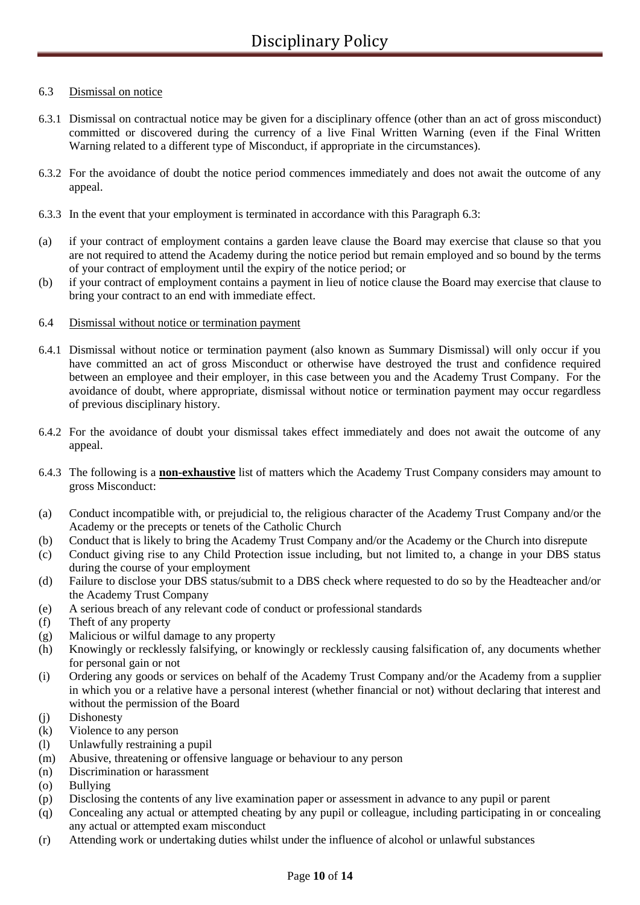## 6.3 Dismissal on notice

- 6.3.1 Dismissal on contractual notice may be given for a disciplinary offence (other than an act of gross misconduct) committed or discovered during the currency of a live Final Written Warning (even if the Final Written Warning related to a different type of Misconduct, if appropriate in the circumstances).
- 6.3.2 For the avoidance of doubt the notice period commences immediately and does not await the outcome of any appeal.
- 6.3.3 In the event that your employment is terminated in accordance with this Paragraph 6.3:
- (a) if your contract of employment contains a garden leave clause the Board may exercise that clause so that you are not required to attend the Academy during the notice period but remain employed and so bound by the terms of your contract of employment until the expiry of the notice period; or
- (b) if your contract of employment contains a payment in lieu of notice clause the Board may exercise that clause to bring your contract to an end with immediate effect.
- 6.4 Dismissal without notice or termination payment
- 6.4.1 Dismissal without notice or termination payment (also known as Summary Dismissal) will only occur if you have committed an act of gross Misconduct or otherwise have destroyed the trust and confidence required between an employee and their employer, in this case between you and the Academy Trust Company. For the avoidance of doubt, where appropriate, dismissal without notice or termination payment may occur regardless of previous disciplinary history.
- 6.4.2 For the avoidance of doubt your dismissal takes effect immediately and does not await the outcome of any appeal.
- 6.4.3 The following is a **non-exhaustive** list of matters which the Academy Trust Company considers may amount to gross Misconduct:
- (a) Conduct incompatible with, or prejudicial to, the religious character of the Academy Trust Company and/or the Academy or the precepts or tenets of the Catholic Church
- (b) Conduct that is likely to bring the Academy Trust Company and/or the Academy or the Church into disrepute
- (c) Conduct giving rise to any Child Protection issue including, but not limited to, a change in your DBS status during the course of your employment
- (d) Failure to disclose your DBS status/submit to a DBS check where requested to do so by the Headteacher and/or the Academy Trust Company
- (e) A serious breach of any relevant code of conduct or professional standards
- (f) Theft of any property
- (g) Malicious or wilful damage to any property
- (h) Knowingly or recklessly falsifying, or knowingly or recklessly causing falsification of, any documents whether for personal gain or not
- (i) Ordering any goods or services on behalf of the Academy Trust Company and/or the Academy from a supplier in which you or a relative have a personal interest (whether financial or not) without declaring that interest and without the permission of the Board
- (j) Dishonesty
- (k) Violence to any person
- (l) Unlawfully restraining a pupil
- (m) Abusive, threatening or offensive language or behaviour to any person
- (n) Discrimination or harassment
- (o) Bullying
- (p) Disclosing the contents of any live examination paper or assessment in advance to any pupil or parent
- (q) Concealing any actual or attempted cheating by any pupil or colleague, including participating in or concealing any actual or attempted exam misconduct
- (r) Attending work or undertaking duties whilst under the influence of alcohol or unlawful substances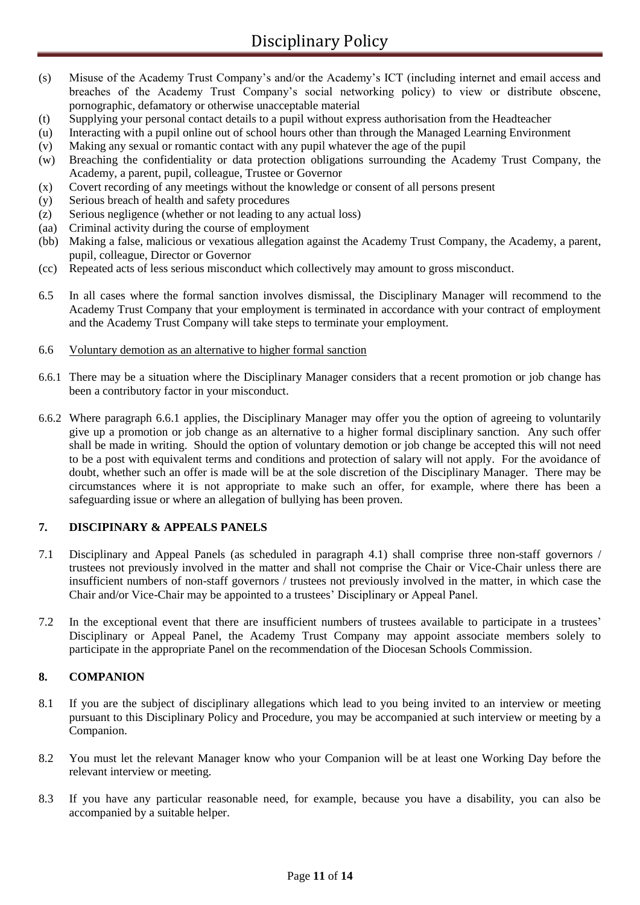- (s) Misuse of the Academy Trust Company's and/or the Academy's ICT (including internet and email access and breaches of the Academy Trust Company's social networking policy) to view or distribute obscene, pornographic, defamatory or otherwise unacceptable material
- (t) Supplying your personal contact details to a pupil without express authorisation from the Headteacher
- (u) Interacting with a pupil online out of school hours other than through the Managed Learning Environment
- (v) Making any sexual or romantic contact with any pupil whatever the age of the pupil
- (w) Breaching the confidentiality or data protection obligations surrounding the Academy Trust Company, the Academy, a parent, pupil, colleague, Trustee or Governor
- (x) Covert recording of any meetings without the knowledge or consent of all persons present
- (y) Serious breach of health and safety procedures
- (z) Serious negligence (whether or not leading to any actual loss)
- (aa) Criminal activity during the course of employment
- (bb) Making a false, malicious or vexatious allegation against the Academy Trust Company, the Academy, a parent, pupil, colleague, Director or Governor
- (cc) Repeated acts of less serious misconduct which collectively may amount to gross misconduct.
- 6.5 In all cases where the formal sanction involves dismissal, the Disciplinary Manager will recommend to the Academy Trust Company that your employment is terminated in accordance with your contract of employment and the Academy Trust Company will take steps to terminate your employment.
- 6.6 Voluntary demotion as an alternative to higher formal sanction
- 6.6.1 There may be a situation where the Disciplinary Manager considers that a recent promotion or job change has been a contributory factor in your misconduct.
- 6.6.2 Where paragraph 6.6.1 applies, the Disciplinary Manager may offer you the option of agreeing to voluntarily give up a promotion or job change as an alternative to a higher formal disciplinary sanction. Any such offer shall be made in writing. Should the option of voluntary demotion or job change be accepted this will not need to be a post with equivalent terms and conditions and protection of salary will not apply. For the avoidance of doubt, whether such an offer is made will be at the sole discretion of the Disciplinary Manager. There may be circumstances where it is not appropriate to make such an offer, for example, where there has been a safeguarding issue or where an allegation of bullying has been proven.

# **7. DISCIPINARY & APPEALS PANELS**

- 7.1 Disciplinary and Appeal Panels (as scheduled in paragraph 4.1) shall comprise three non-staff governors / trustees not previously involved in the matter and shall not comprise the Chair or Vice-Chair unless there are insufficient numbers of non-staff governors / trustees not previously involved in the matter, in which case the Chair and/or Vice-Chair may be appointed to a trustees' Disciplinary or Appeal Panel.
- 7.2 In the exceptional event that there are insufficient numbers of trustees available to participate in a trustees' Disciplinary or Appeal Panel, the Academy Trust Company may appoint associate members solely to participate in the appropriate Panel on the recommendation of the Diocesan Schools Commission.

#### **8. COMPANION**

- 8.1 If you are the subject of disciplinary allegations which lead to you being invited to an interview or meeting pursuant to this Disciplinary Policy and Procedure, you may be accompanied at such interview or meeting by a Companion.
- 8.2 You must let the relevant Manager know who your Companion will be at least one Working Day before the relevant interview or meeting.
- 8.3 If you have any particular reasonable need, for example, because you have a disability, you can also be accompanied by a suitable helper.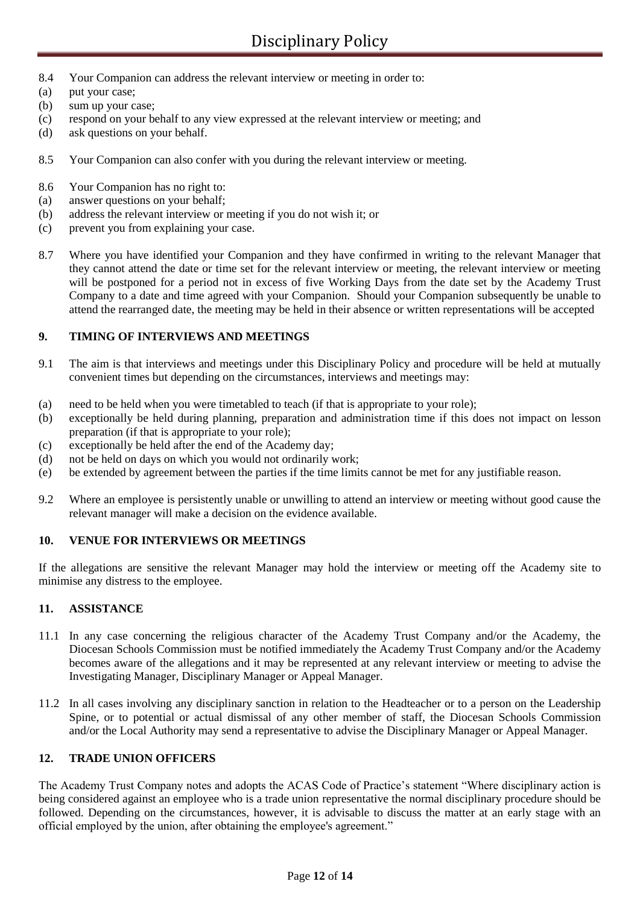- 8.4 Your Companion can address the relevant interview or meeting in order to:
- (a) put your case;
- (b) sum up your case;
- (c) respond on your behalf to any view expressed at the relevant interview or meeting; and
- (d) ask questions on your behalf.
- 8.5 Your Companion can also confer with you during the relevant interview or meeting.
- 8.6 Your Companion has no right to:
- (a) answer questions on your behalf;
- (b) address the relevant interview or meeting if you do not wish it; or
- (c) prevent you from explaining your case.
- 8.7 Where you have identified your Companion and they have confirmed in writing to the relevant Manager that they cannot attend the date or time set for the relevant interview or meeting, the relevant interview or meeting will be postponed for a period not in excess of five Working Days from the date set by the Academy Trust Company to a date and time agreed with your Companion. Should your Companion subsequently be unable to attend the rearranged date, the meeting may be held in their absence or written representations will be accepted

## **9. TIMING OF INTERVIEWS AND MEETINGS**

- 9.1 The aim is that interviews and meetings under this Disciplinary Policy and procedure will be held at mutually convenient times but depending on the circumstances, interviews and meetings may:
- (a) need to be held when you were timetabled to teach (if that is appropriate to your role);
- (b) exceptionally be held during planning, preparation and administration time if this does not impact on lesson preparation (if that is appropriate to your role);
- (c) exceptionally be held after the end of the Academy day;
- (d) not be held on days on which you would not ordinarily work;
- (e) be extended by agreement between the parties if the time limits cannot be met for any justifiable reason.
- 9.2 Where an employee is persistently unable or unwilling to attend an interview or meeting without good cause the relevant manager will make a decision on the evidence available.

#### **10. VENUE FOR INTERVIEWS OR MEETINGS**

If the allegations are sensitive the relevant Manager may hold the interview or meeting off the Academy site to minimise any distress to the employee.

#### **11. ASSISTANCE**

- 11.1 In any case concerning the religious character of the Academy Trust Company and/or the Academy, the Diocesan Schools Commission must be notified immediately the Academy Trust Company and/or the Academy becomes aware of the allegations and it may be represented at any relevant interview or meeting to advise the Investigating Manager, Disciplinary Manager or Appeal Manager.
- 11.2 In all cases involving any disciplinary sanction in relation to the Headteacher or to a person on the Leadership Spine, or to potential or actual dismissal of any other member of staff, the Diocesan Schools Commission and/or the Local Authority may send a representative to advise the Disciplinary Manager or Appeal Manager.

## **12. TRADE UNION OFFICERS**

The Academy Trust Company notes and adopts the ACAS Code of Practice's statement "Where disciplinary action is being considered against an employee who is a trade union representative the normal disciplinary procedure should be followed. Depending on the circumstances, however, it is advisable to discuss the matter at an early stage with an official employed by the union, after obtaining the employee's agreement."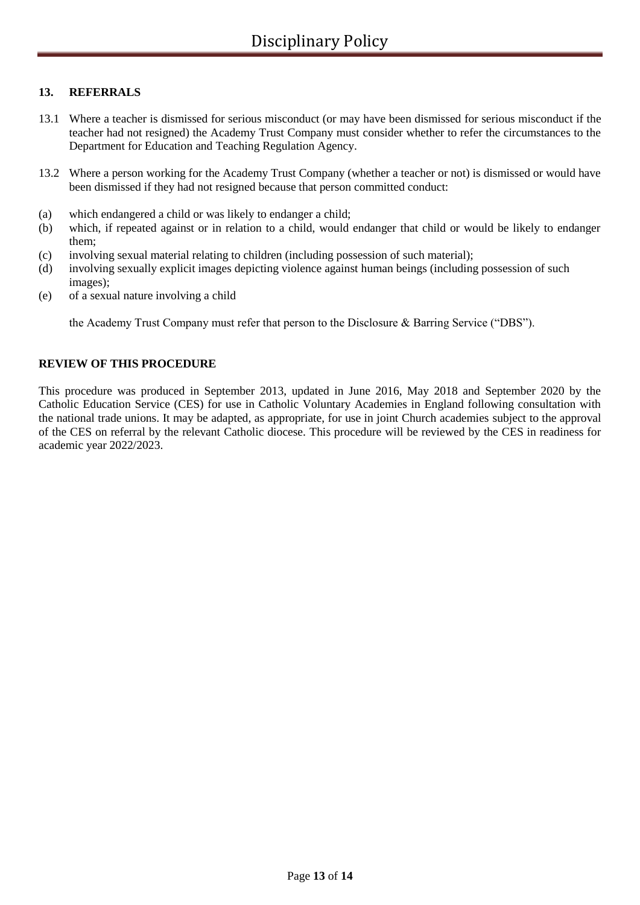## **13. REFERRALS**

- 13.1 Where a teacher is dismissed for serious misconduct (or may have been dismissed for serious misconduct if the teacher had not resigned) the Academy Trust Company must consider whether to refer the circumstances to the Department for Education and Teaching Regulation Agency.
- 13.2 Where a person working for the Academy Trust Company (whether a teacher or not) is dismissed or would have been dismissed if they had not resigned because that person committed conduct:
- (a) which endangered a child or was likely to endanger a child;
- (b) which, if repeated against or in relation to a child, would endanger that child or would be likely to endanger them;
- (c) involving sexual material relating to children (including possession of such material);
- (d) involving sexually explicit images depicting violence against human beings (including possession of such images);
- (e) of a sexual nature involving a child

the Academy Trust Company must refer that person to the Disclosure & Barring Service ("DBS").

#### **REVIEW OF THIS PROCEDURE**

This procedure was produced in September 2013, updated in June 2016, May 2018 and September 2020 by the Catholic Education Service (CES) for use in Catholic Voluntary Academies in England following consultation with the national trade unions. It may be adapted, as appropriate, for use in joint Church academies subject to the approval of the CES on referral by the relevant Catholic diocese. This procedure will be reviewed by the CES in readiness for academic year 2022/2023.